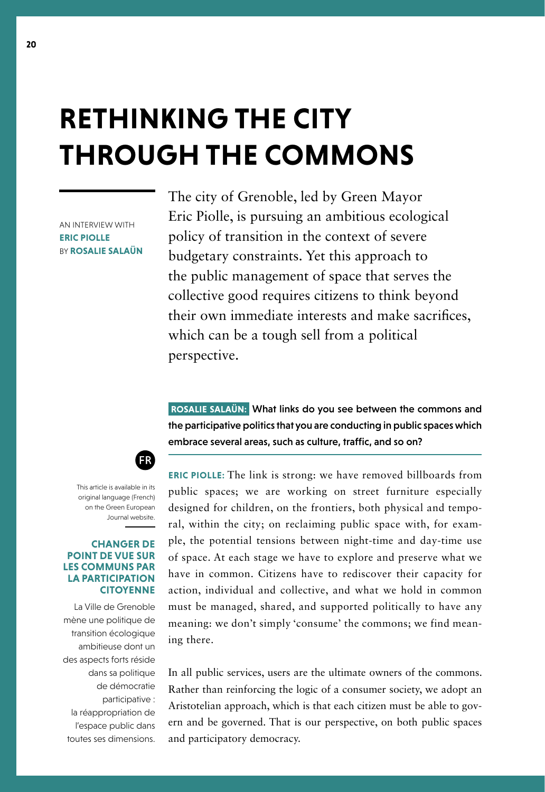# **RETHINKING THE CITY THROUGH THE COMMONS**

AN INTERVIEW WITH **ERIC PIOLLE** BY **ROSALIE SALAÜN**

The city of Grenoble, led by Green Mayor Eric Piolle, is pursuing an ambitious ecological policy of transition in the context of severe budgetary constraints. Yet this approach to the public management of space that serves the collective good requires citizens to think beyond their own immediate interests and make sacrifices, which can be a tough sell from a political perspective.

 **ROSALIE SALAÜN:** What links do you see between the commons and the participative politics that you are conducting in public spaces which embrace several areas, such as culture, traffic, and so on?



This article is available in its original language (French) on the Green European Journal website.

### **CHANGER DE POINT DE VUE SUR LES COMMUNS PAR LA PARTICIPATION CITOYENNE**

La Ville de Grenoble mène une politique de transition écologique ambitieuse dont un des aspects forts réside dans sa politique de démocratie participative : la réappropriation de l'espace public dans toutes ses dimensions.

**ERIC PIOLLE:** The link is strong: we have removed billboards from public spaces; we are working on street furniture especially designed for children, on the frontiers, both physical and temporal, within the city; on reclaiming public space with, for example, the potential tensions between night-time and day-time use of space. At each stage we have to explore and preserve what we have in common. Citizens have to rediscover their capacity for action, individual and collective, and what we hold in common must be managed, shared, and supported politically to have any meaning: we don't simply 'consume' the commons; we find meaning there.

In all public services, users are the ultimate owners of the commons. Rather than reinforcing the logic of a consumer society, we adopt an Aristotelian approach, which is that each citizen must be able to govern and be governed. That is our perspective, on both public spaces and participatory democracy.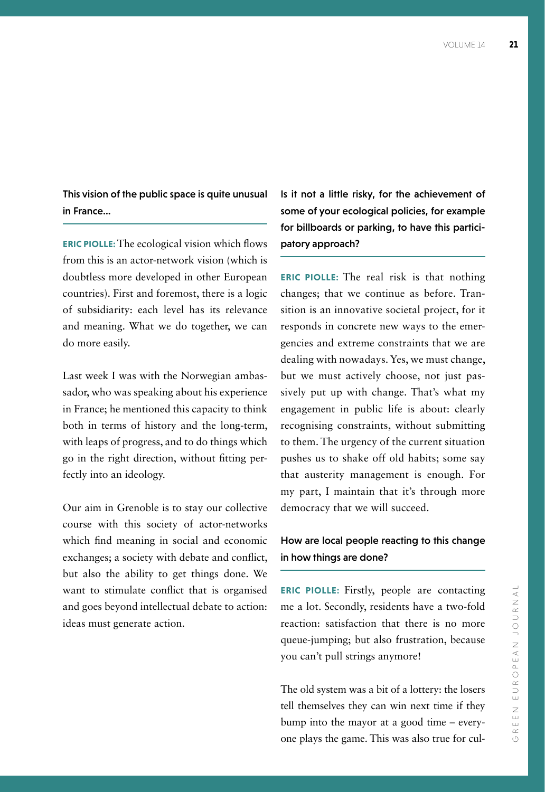This vision of the public space is quite unusual in France…

**ERIC PIOLLE:** The ecological vision which flows from this is an actor-network vision (which is doubtless more developed in other European countries). First and foremost, there is a logic of subsidiarity: each level has its relevance and meaning. What we do together, we can do more easily.

Last week I was with the Norwegian ambassador, who was speaking about his experience in France; he mentioned this capacity to think both in terms of history and the long-term, with leaps of progress, and to do things which go in the right direction, without fitting perfectly into an ideology.

Our aim in Grenoble is to stay our collective course with this society of actor-networks which find meaning in social and economic exchanges; a society with debate and conflict, but also the ability to get things done. We want to stimulate conflict that is organised and goes beyond intellectual debate to action: ideas must generate action.

Is it not a little risky, for the achievement of some of your ecological policies, for example for billboards or parking, to have this participatory approach?

**ERIC PIOLLE:** The real risk is that nothing changes; that we continue as before. Transition is an innovative societal project, for it responds in concrete new ways to the emergencies and extreme constraints that we are dealing with nowadays. Yes, we must change, but we must actively choose, not just passively put up with change. That's what my engagement in public life is about: clearly recognising constraints, without submitting to them. The urgency of the current situation pushes us to shake off old habits; some say that austerity management is enough. For my part, I maintain that it's through more democracy that we will succeed.

## How are local people reacting to this change in how things are done?

**ERIC PIOLLE:** Firstly, people are contacting me a lot. Secondly, residents have a two-fold reaction: satisfaction that there is no more queue-jumping; but also frustration, because you can't pull strings anymore!

The old system was a bit of a lottery: the losers tell themselves they can win next time if they bump into the mayor at a good time – everyone plays the game. This was also true for cul-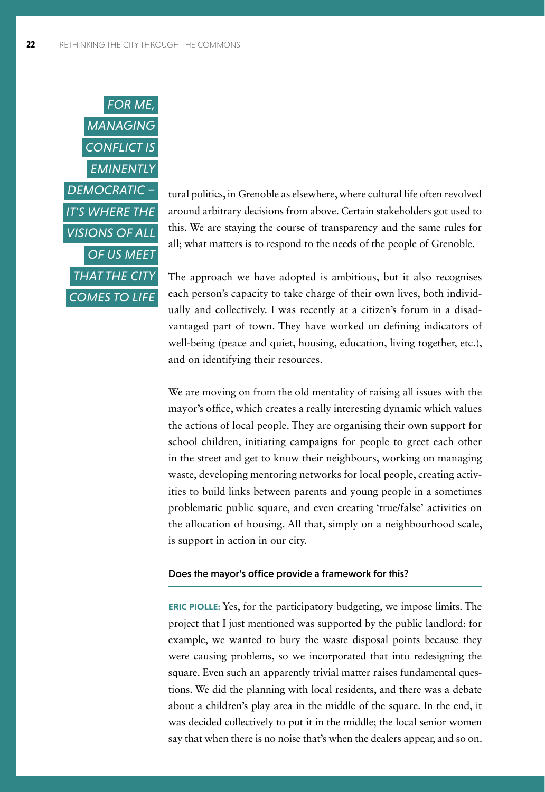

tural politics, in Grenoble as elsewhere, where cultural life often revolved around arbitrary decisions from above. Certain stakeholders got used to this. We are staying the course of transparency and the same rules for all; what matters is to respond to the needs of the people of Grenoble.

The approach we have adopted is ambitious, but it also recognises each person's capacity to take charge of their own lives, both individually and collectively. I was recently at a citizen's forum in a disadvantaged part of town. They have worked on defining indicators of well-being (peace and quiet, housing, education, living together, etc.), and on identifying their resources.

We are moving on from the old mentality of raising all issues with the mayor's office, which creates a really interesting dynamic which values the actions of local people. They are organising their own support for school children, initiating campaigns for people to greet each other in the street and get to know their neighbours, working on managing waste, developing mentoring networks for local people, creating activities to build links between parents and young people in a sometimes problematic public square, and even creating 'true/false' activities on the allocation of housing. All that, simply on a neighbourhood scale, is support in action in our city.

#### Does the mayor's office provide a framework for this?

**ERIC PIOLLE:** Yes, for the participatory budgeting, we impose limits. The project that I just mentioned was supported by the public landlord: for example, we wanted to bury the waste disposal points because they were causing problems, so we incorporated that into redesigning the square. Even such an apparently trivial matter raises fundamental questions. We did the planning with local residents, and there was a debate about a children's play area in the middle of the square. In the end, it was decided collectively to put it in the middle; the local senior women say that when there is no noise that's when the dealers appear, and so on.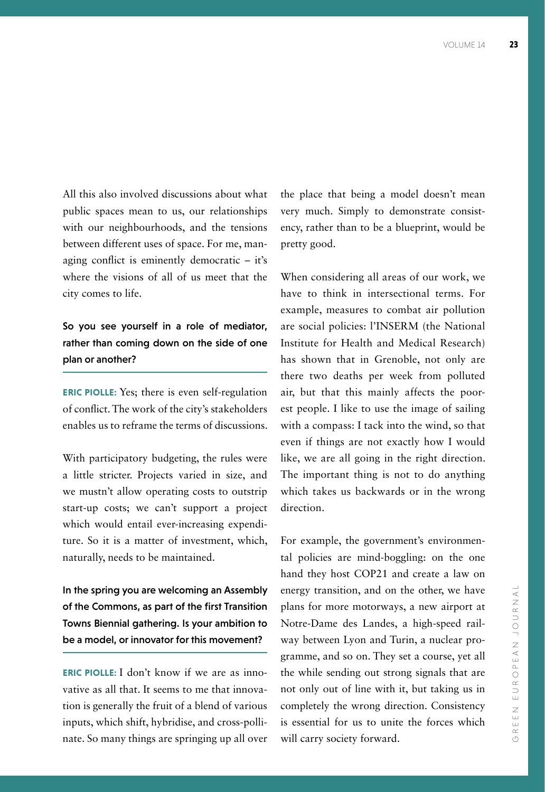All this also involved discussions about what public spaces mean to us, our relationships with our neighbourhoods, and the tensions between different uses of space. For me, managing conflict is eminently democratic – it's where the visions of all of us meet that the city comes to life.

So you see yourself in a role of mediator, rather than coming down on the side of one plan or another?

**ERIC PIOLLE:** Yes; there is even self-regulation of conflict. The work of the city's stakeholders enables us to reframe the terms of discussions.

With participatory budgeting, the rules were a little stricter. Projects varied in size, and we mustn't allow operating costs to outstrip start-up costs; we can't support a project which would entail ever-increasing expenditure. So it is a matter of investment, which, naturally, needs to be maintained.

In the spring you are welcoming an Assembly of the Commons, as part of the first Transition Towns Biennial gathering. Is your ambition to be a model, or innovator for this movement?

**ERIC PIOLLE:** I don't know if we are as innovative as all that. It seems to me that innovation is generally the fruit of a blend of various inputs, which shift, hybridise, and cross-pollinate. So many things are springing up all over the place that being a model doesn't mean very much. Simply to demonstrate consistency, rather than to be a blueprint, would be pretty good.

When considering all areas of our work, we have to think in intersectional terms. For example, measures to combat air pollution are social policies: l'INSERM (the National Institute for Health and Medical Research) has shown that in Grenoble, not only are there two deaths per week from polluted air, but that this mainly affects the poorest people. I like to use the image of sailing with a compass: I tack into the wind, so that even if things are not exactly how I would like, we are all going in the right direction. The important thing is not to do anything which takes us backwards or in the wrong direction.

For example, the government's environmental policies are mind-boggling: on the one hand they host COP21 and create a law on energy transition, and on the other, we have plans for more motorways, a new airport at Notre-Dame des Landes, a high-speed railway between Lyon and Turin, a nuclear programme, and so on. They set a course, yet all the while sending out strong signals that are not only out of line with it, but taking us in completely the wrong direction. Consistency is essential for us to unite the forces which will carry society forward.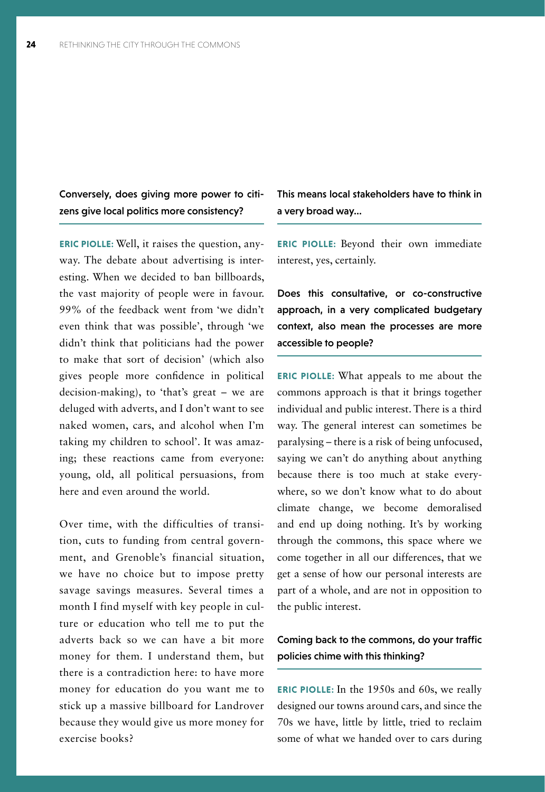Conversely, does giving more power to citizens give local politics more consistency?

**ERIC PIOLLE:** Well, it raises the question, anyway. The debate about advertising is interesting. When we decided to ban billboards, the vast majority of people were in favour. 99% of the feedback went from 'we didn't even think that was possible', through 'we didn't think that politicians had the power to make that sort of decision' (which also gives people more confidence in political decision-making), to 'that's great – we are deluged with adverts, and I don't want to see naked women, cars, and alcohol when I'm taking my children to school'. It was amazing; these reactions came from everyone: young, old, all political persuasions, from here and even around the world.

Over time, with the difficulties of transition, cuts to funding from central government, and Grenoble's financial situation, we have no choice but to impose pretty savage savings measures. Several times a month I find myself with key people in culture or education who tell me to put the adverts back so we can have a bit more money for them. I understand them, but there is a contradiction here: to have more money for education do you want me to stick up a massive billboard for Landrover because they would give us more money for exercise books?

This means local stakeholders have to think in a very broad way...

**ERIC PIOLLE:** Beyond their own immediate interest, yes, certainly.

Does this consultative, or co-constructive approach, in a very complicated budgetary context, also mean the processes are more accessible to people?

**ERIC PIOLLE:** What appeals to me about the commons approach is that it brings together individual and public interest. There is a third way. The general interest can sometimes be paralysing – there is a risk of being unfocused, saying we can't do anything about anything because there is too much at stake everywhere, so we don't know what to do about climate change, we become demoralised and end up doing nothing. It's by working through the commons, this space where we come together in all our differences, that we get a sense of how our personal interests are part of a whole, and are not in opposition to the public interest.

## Coming back to the commons, do your traffic policies chime with this thinking?

**ERIC PIOLLE:** In the 1950s and 60s, we really designed our towns around cars, and since the 70s we have, little by little, tried to reclaim some of what we handed over to cars during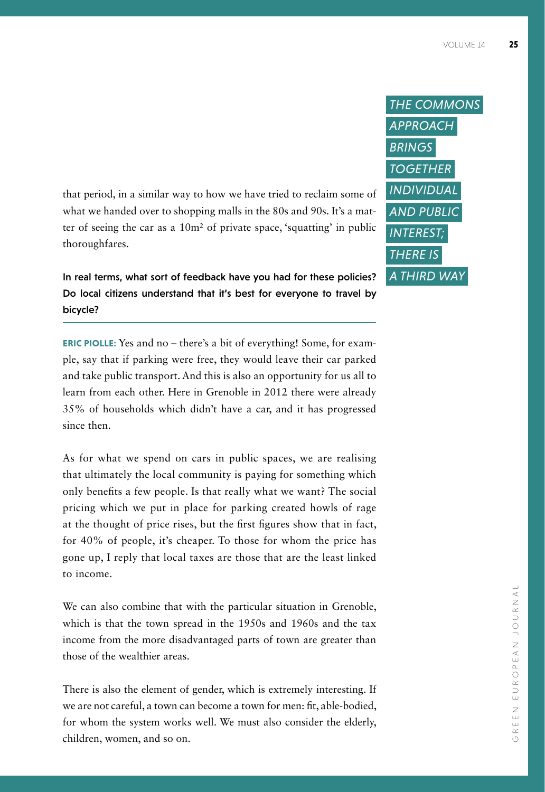that period, in a similar way to how we have tried to reclaim some of what we handed over to shopping malls in the 80s and 90s. It's a matter of seeing the car as a 10m² of private space, 'squatting' in public thoroughfares.

In real terms, what sort of feedback have you had for these policies? Do local citizens understand that it's best for everyone to travel by bicycle?

**ERIC PIOLLE:** Yes and no – there's a bit of everything! Some, for example, say that if parking were free, they would leave their car parked and take public transport. And this is also an opportunity for us all to learn from each other. Here in Grenoble in 2012 there were already 35% of households which didn't have a car, and it has progressed since then.

As for what we spend on cars in public spaces, we are realising that ultimately the local community is paying for something which only benefits a few people. Is that really what we want? The social pricing which we put in place for parking created howls of rage at the thought of price rises, but the first figures show that in fact, for 40% of people, it's cheaper. To those for whom the price has gone up, I reply that local taxes are those that are the least linked to income.

We can also combine that with the particular situation in Grenoble, which is that the town spread in the 1950s and 1960s and the tax income from the more disadvantaged parts of town are greater than those of the wealthier areas.

There is also the element of gender, which is extremely interesting. If we are not careful, a town can become a town for men: fit, able-bodied, for whom the system works well. We must also consider the elderly, children, women, and so on.